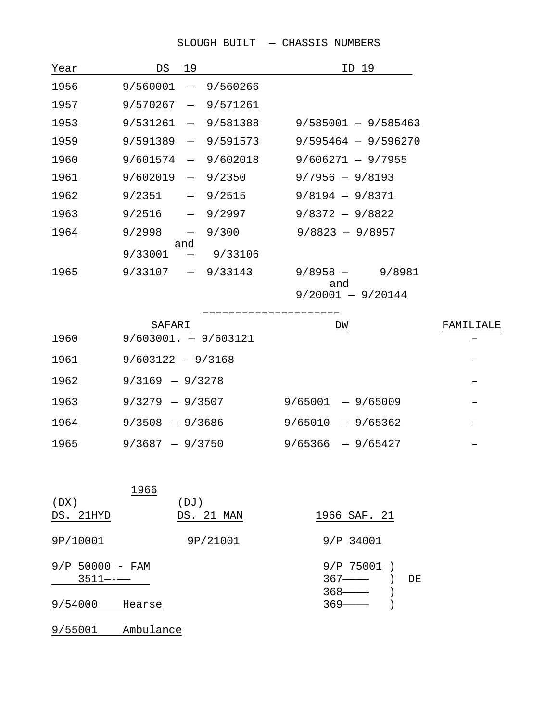# SLOUGH BUILT — CHASSIS NUMBERS

| Year | 19<br>DS                                         | ID 19                      |           |
|------|--------------------------------------------------|----------------------------|-----------|
| 1956 | 9/560001<br>9/560266<br>$\overline{\phantom{m}}$ |                            |           |
| 1957 | 9/570267<br>9/571261<br>$\overline{\phantom{m}}$ |                            |           |
| 1953 | 9/531261<br>9/581388<br>$-$                      | $9/585001 - 9/585463$      |           |
| 1959 | 9/591389<br>9/591573<br>$\overline{\phantom{0}}$ | $9/595464 - 9/596270$      |           |
| 1960 | 9/601574<br>9/602018<br>$\overline{\phantom{0}}$ | $9/606271 - 9/7955$        |           |
| 1961 | 9/602019<br>9/2350<br>$\qquad \qquad -$          | $9/7956 - 9/8193$          |           |
| 1962 | 9/2351<br>9/2515                                 | $9/8194 - 9/8371$          |           |
| 1963 | 9/2516<br>9/2997                                 | $9/8372 - 9/8822$          |           |
| 1964 | 9/2998<br>9/300                                  | $9/8823 - 9/8957$          |           |
|      | and<br>9/33001<br>9/33106                        |                            |           |
| 1965 | 9/33107<br>9/33143<br>$\overline{\phantom{0}}$   | $9/8958 -$<br>9/8981       |           |
|      |                                                  | and<br>$9/20001 - 9/20144$ |           |
|      | SAFARI                                           | DM                         | FAMILIALE |
| 1960 | $9/603001. - 9/603121$                           |                            |           |
| 1961 | $9/603122 - 9/3168$                              |                            |           |
| 1962 | $9/3169 - 9/3278$                                |                            |           |
| 1963 | $9/3279 - 9/3507$                                | 9/65001<br>$-9/65009$      |           |
| 1964 | $9/3508 - 9/3686$                                | 9/65010<br>$-9/65362$      |           |
| 1965 | $9/3687 - 9/3750$                                | 9/65366<br>$-9/65427$      |           |

| (DX)                          | 1966      |                    |                                                    |    |
|-------------------------------|-----------|--------------------|----------------------------------------------------|----|
| DS. 21HYD                     |           | (DJ)<br>DS. 21 MAN | 1966 SAF. 21                                       |    |
| 9P/10001                      |           | 9P/21001           | 9/P 34001                                          |    |
| $9/P 50000 - FAM$<br>$3511--$ |           |                    | 9/P 75001<br>$\rightarrow$<br>$367$ ——<br>$368$ —— | DE |
| 9/54000                       | Hearse    |                    | $369$ ——                                           |    |
| 9/55001                       | Ambulance |                    |                                                    |    |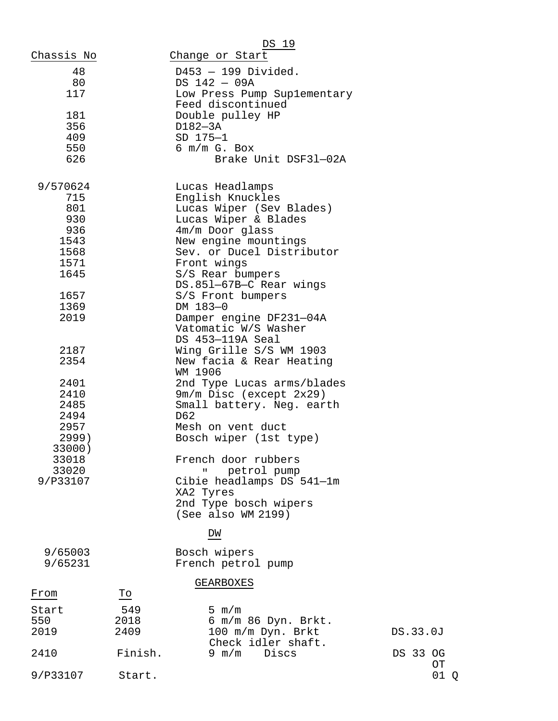|                    |         | DS 19                                           |            |
|--------------------|---------|-------------------------------------------------|------------|
| Chassis No         |         | Change or Start                                 |            |
| 48                 |         | $D453 - 199$ Divided.                           |            |
| 80<br>117          |         | $DS$ 142 $-$ 09A<br>Low Press Pump Suplementary |            |
|                    |         | Feed discontinued                               |            |
| 181                |         | Double pulley HP                                |            |
| 356                |         | D182-3A                                         |            |
| 409                |         | SD 175-1                                        |            |
| 550                |         | $6 \text{ m/m G. Box}$                          |            |
| 626                |         | Brake Unit DSF31-02A                            |            |
| 9/570624           |         | Lucas Headlamps                                 |            |
| 715                |         | English Knuckles                                |            |
| 801                |         | Lucas Wiper (Sev Blades)                        |            |
| 930                |         | Lucas Wiper & Blades                            |            |
| 936<br>1543        |         | 4m/m Door glass<br>New engine mountings         |            |
| 1568               |         | Sev. or Ducel Distributor                       |            |
| 1571               |         | Front wings                                     |            |
| 1645               |         | S/S Rear bumpers                                |            |
|                    |         | DS.851-67B-C Rear wings                         |            |
| 1657               |         | S/S Front bumpers                               |            |
| 1369               |         | DM 183-0                                        |            |
| 2019               |         | Damper engine DF231-04A                         |            |
|                    |         | Vatomatic W/S Washer<br>DS 453-119A Seal        |            |
| 2187               |         | Wing Grille S/S WM 1903                         |            |
| 2354               |         | New facia & Rear Heating                        |            |
|                    |         | WM 1906                                         |            |
| 2401               |         | 2nd Type Lucas arms/blades                      |            |
| 2410               |         | 9m/m Disc (except 2x29)                         |            |
| 2485               |         | Small battery. Neg. earth                       |            |
| 2494               |         | D <sub>62</sub>                                 |            |
| 2957<br>2999)      |         | Mesh on vent duct                               |            |
| 33000)             |         | Bosch wiper (1st type)                          |            |
| 33018              |         | French door rubbers                             |            |
| 33020              |         | petrol pump<br>$\mathbf{H} = \mathbf{0}$        |            |
| 9/P33107           |         | Cibie headlamps DS 541-1m                       |            |
|                    |         | XA2 Tyres                                       |            |
|                    |         | 2nd Type bosch wipers                           |            |
|                    |         | (See also WM 2199)                              |            |
|                    |         | DM                                              |            |
| 9/65003<br>9/65231 |         | Bosch wipers<br>French petrol pump              |            |
|                    |         |                                                 |            |
| From               | To      | <b>GEARBOXES</b>                                |            |
| Start              | 549     | 5 $m/m$                                         |            |
| 550                | 2018    | 6 m/m 86 Dyn. Brkt.                             |            |
| 2019               | 2409    | 100 m/m Dyn. Brkt                               | DS.33.0J   |
|                    |         | Check idler shaft.                              |            |
| 2410               | Finish. | 9 $m/m$<br>Discs                                | DS 33 OG   |
| 9/P33107           | Start.  |                                                 | ОT<br>01 Q |
|                    |         |                                                 |            |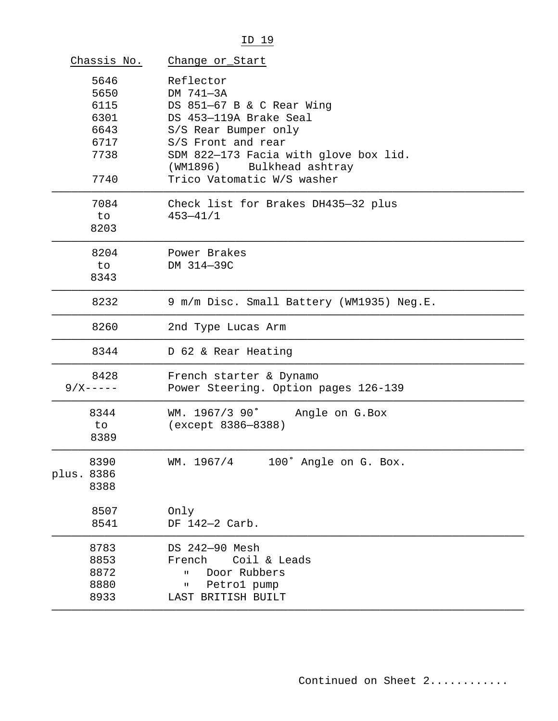| Chassis No.                                                  | Change or_Start                                                                                                                                                                                                                 |
|--------------------------------------------------------------|---------------------------------------------------------------------------------------------------------------------------------------------------------------------------------------------------------------------------------|
| 5646<br>5650<br>6115<br>6301<br>6643<br>6717<br>7738<br>7740 | Reflector<br>DM 741-3A<br>DS 851-67 B & C Rear Wing<br>DS 453-119A Brake Seal<br>S/S Rear Bumper only<br>S/S Front and rear<br>SDM 822-173 Facia with glove box lid.<br>(WM1896) Bulkhead ashtray<br>Trico Vatomatic W/S washer |
| 7084<br>to<br>8203                                           | Check list for Brakes DH435-32 plus<br>$453 - 41/1$                                                                                                                                                                             |
| 8204<br>to<br>8343                                           | Power Brakes<br>DM 314-39C                                                                                                                                                                                                      |
| 8232                                                         | 9 m/m Disc. Small Battery (WM1935) Neg.E.                                                                                                                                                                                       |
| 8260                                                         | 2nd Type Lucas Arm                                                                                                                                                                                                              |
| 8344                                                         | D 62 & Rear Heating                                                                                                                                                                                                             |
| 8428<br>$9/X---$                                             | French starter & Dynamo<br>Power Steering. Option pages 126-139                                                                                                                                                                 |
| 8344<br>to<br>8389                                           | WM. 1967/3 90°<br>Angle on G.Box<br>(except 8386-8388)                                                                                                                                                                          |
| 8390<br>plus. 8386<br>8388                                   | WM. 1967/4<br>100° Angle on G. Box.                                                                                                                                                                                             |
| 8507<br>8541                                                 | Only<br>DF 142-2 Carb.                                                                                                                                                                                                          |
| 8783<br>8853<br>8872<br>8880<br>8933                         | DS 242-90 Mesh<br>Coil & Leads<br>French<br>Door Rubbers<br>$\mathbf{u}$<br>Petro1 pump<br>$\mathbf H$<br>LAST BRITISH BUILT                                                                                                    |

# ID 19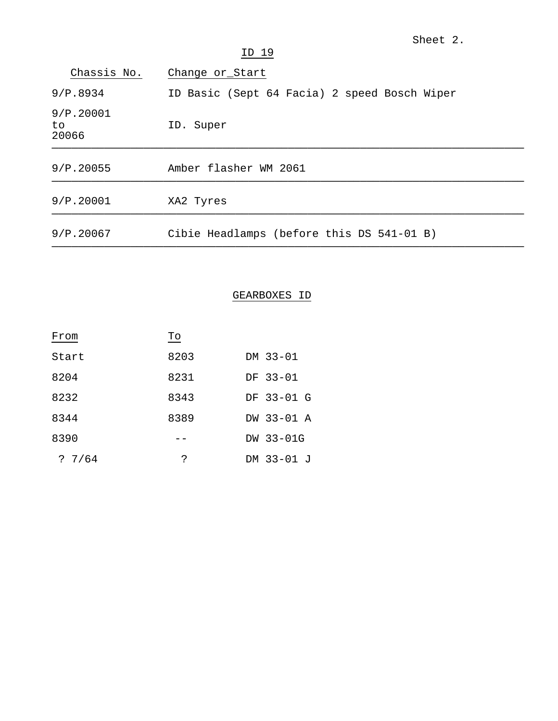|                           | ID 19                                        |
|---------------------------|----------------------------------------------|
| Chassis No.               | Change or_Start                              |
| 9/P.8934                  | ID Basic (Sept 64 Facia) 2 speed Bosch Wiper |
| 9/P.20001<br>to.<br>20066 | ID. Super                                    |
| 9/P.20055                 | Amber flasher WM 2061                        |
| 9/P.20001                 | XA2 Tyres                                    |
| 9/P.20067                 | Cibie Headlamps (before this DS 541-01 B)    |
|                           |                                              |

# GEARBOXES ID

| From  | Tо   |            |
|-------|------|------------|
| Start | 8203 | DM 33-01   |
| 8204  | 8231 | DF 33-01   |
| 8232  | 8343 | DF 33-01 G |
| 8344  | 8389 | DW 33-01 A |
| 8390  |      | DW 33-01G  |
| 7/64  | ?    | DM 33-01 J |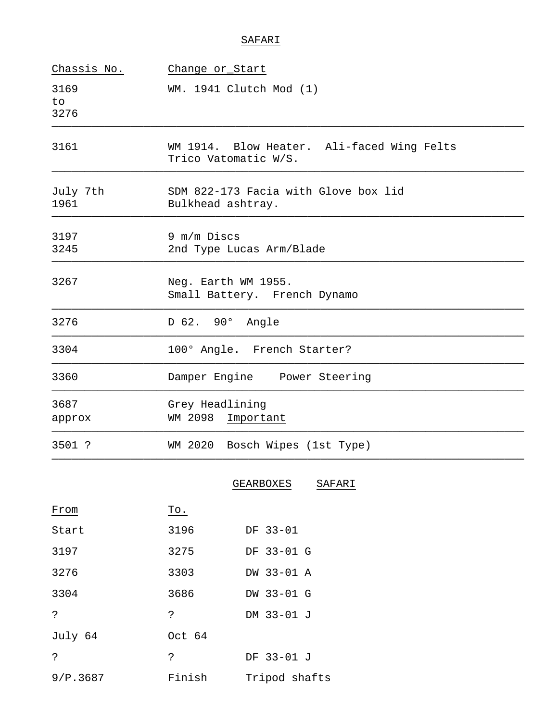### SAFARI

| Chassis No.        | Change or_Start<br>WM. 1941 Clutch Mod (1)                         |  |  |  |
|--------------------|--------------------------------------------------------------------|--|--|--|
| 3169<br>to<br>3276 |                                                                    |  |  |  |
| 3161               | WM 1914. Blow Heater. Ali-faced Wing Felts<br>Trico Vatomatic W/S. |  |  |  |
| July 7th<br>1961   | SDM 822-173 Facia with Glove box lid<br>Bulkhead ashtray.          |  |  |  |
| 3197<br>3245       | 9 m/m Discs<br>2nd Type Lucas Arm/Blade                            |  |  |  |
| 3267               | Neg. Earth WM 1955.<br>Small Battery. French Dynamo                |  |  |  |
| 3276               | D 62. 90° Angle                                                    |  |  |  |
| 3304               | 100° Angle. French Starter?                                        |  |  |  |
| 3360               | Damper Engine Power Steering                                       |  |  |  |
| 3687<br>approx     | Grey Headlining<br>WM 2098 Important                               |  |  |  |
| 3501 ?             | WM 2020 Bosch Wipes (1st Type)                                     |  |  |  |
|                    | GEARBOXES<br>SAFARI                                                |  |  |  |
| From               | $\underline{\operatorname{To}}$ .                                  |  |  |  |
| Start              | 3196<br>DF 33-01                                                   |  |  |  |
| 3197               | 3275<br>DF 33-01 G                                                 |  |  |  |
| 3276               | 3303<br>DW 33-01 A                                                 |  |  |  |
| 3304               | 3686<br>DW 33-01 G                                                 |  |  |  |
| ?                  | DM 33-01 J<br>خ.                                                   |  |  |  |
| July 64            | Oct 64                                                             |  |  |  |
| $\mathcal{E}$      | Ċ.<br>DF 33-01 J                                                   |  |  |  |
| 9/P.3687           | Finish<br>Tripod shafts                                            |  |  |  |